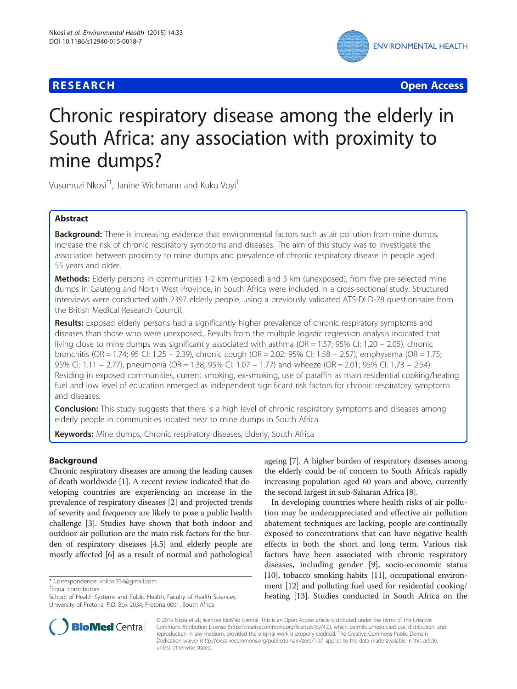# **RESEARCH CHE Open Access**



# Chronic respiratory disease among the elderly in South Africa: any association with proximity to mine dumps?

Vusumuzi Nkosi\*† , Janine Wichmann and Kuku Voyi†

# Abstract

Background: There is increasing evidence that environmental factors such as air pollution from mine dumps, increase the risk of chronic respiratory symptoms and diseases. The aim of this study was to investigate the association between proximity to mine dumps and prevalence of chronic respiratory disease in people aged 55 years and older.

Methods: Elderly persons in communities 1-2 km (exposed) and 5 km (unexposed), from five pre-selected mine dumps in Gauteng and North West Province, in South Africa were included in a cross-sectional study. Structured interviews were conducted with 2397 elderly people, using a previously validated ATS-DLD-78 questionnaire from the British Medical Research Council.

Results: Exposed elderly persons had a significantly higher prevalence of chronic respiratory symptoms and diseases than those who were unexposed., Results from the multiple logistic regression analysis indicated that living close to mine dumps was significantly associated with asthma ( $OR = 1.57$ ; 95% CI: 1.20 – 2.05), chronic bronchitis (OR = 1.74; 95 CI: 1.25 – 2.39), chronic cough (OR = 2.02; 95% CI: 1.58 – 2.57), emphysema (OR = 1.75; 95% CI: 1.11 – 2.77), pneumonia (OR = 1.38; 95% CI: 1.07 – 1.77) and wheeze (OR = 2.01; 95% CI: 1.73 – 2.54). Residing in exposed communities, current smoking, ex-smoking, use of paraffin as main residential cooking/heating fuel and low level of education emerged as independent significant risk factors for chronic respiratory symptoms and diseases.

**Conclusion:** This study suggests that there is a high level of chronic respiratory symptoms and diseases among elderly people in communities located near to mine dumps in South Africa.

Keywords: Mine dumps, Chronic respiratory diseases, Elderly, South Africa

# Background

Chronic respiratory diseases are among the leading causes of death worldwide [\[1\]](#page-6-0). A recent review indicated that developing countries are experiencing an increase in the prevalence of respiratory diseases [[2](#page-6-0)] and projected trends of severity and frequency are likely to pose a public health challenge [\[3](#page-6-0)]. Studies have shown that both indoor and outdoor air pollution are the main risk factors for the burden of respiratory diseases [\[4,5](#page-6-0)] and elderly people are mostly affected [\[6](#page-6-0)] as a result of normal and pathological

\* Correspondence: [vnkosi334@gmail.com](mailto:vnkosi334@gmail.com) †

Equal contributors

ageing [\[7](#page-6-0)]. A higher burden of respiratory diseases among the elderly could be of concern to South Africa's rapidly increasing population aged 60 years and above, currently the second largest in sub-Saharan Africa [\[8](#page-6-0)].

In developing countries where health risks of air pollution may be underappreciated and effective air pollution abatement techniques are lacking, people are continually exposed to concentrations that can have negative health effects in both the short and long term. Various risk factors have been associated with chronic respiratory diseases, including gender [[9\]](#page-6-0), socio-economic status [[10](#page-6-0)], tobacco smoking habits [[11](#page-6-0)], occupational environment [[12](#page-6-0)] and polluting fuel used for residential cooking/ heating [[13](#page-6-0)]. Studies conducted in South Africa on the



© 2015 Nkosi et al.; licensee BioMed Central. This is an Open Access article distributed under the terms of the Creative Commons Attribution License [\(http://creativecommons.org/licenses/by/4.0\)](http://creativecommons.org/licenses/by/4.0), which permits unrestricted use, distribution, and reproduction in any medium, provided the original work is properly credited. The Creative Commons Public Domain Dedication waiver [\(http://creativecommons.org/publicdomain/zero/1.0/](http://creativecommons.org/publicdomain/zero/1.0/)) applies to the data made available in this article, unless otherwise stated.

School of Health Systems and Public Health, Faculty of Health Sciences, University of Pretoria, P.O. Box 2034, Pretoria 0001, South Africa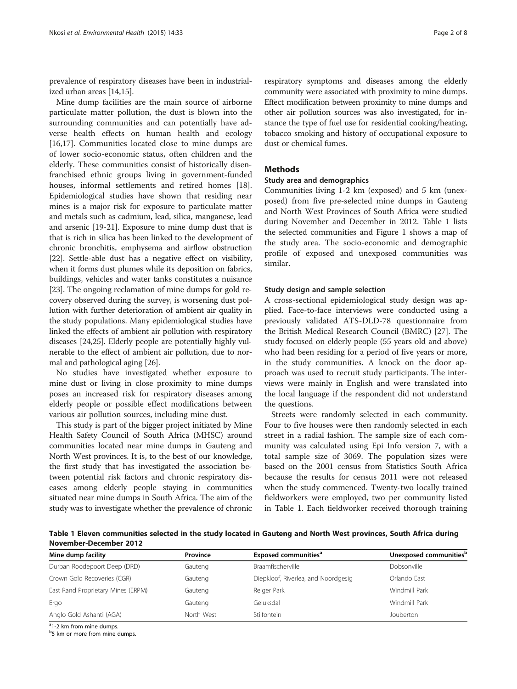<span id="page-1-0"></span>prevalence of respiratory diseases have been in industrialized urban areas [[14,15\]](#page-6-0).

Mine dump facilities are the main source of airborne particulate matter pollution, the dust is blown into the surrounding communities and can potentially have adverse health effects on human health and ecology [[16,17\]](#page-6-0). Communities located close to mine dumps are of lower socio-economic status, often children and the elderly. These communities consist of historically disenfranchised ethnic groups living in government-funded houses, informal settlements and retired homes [\[18](#page-6-0)]. Epidemiological studies have shown that residing near mines is a major risk for exposure to particulate matter and metals such as cadmium, lead, silica, manganese, lead and arsenic [[19](#page-6-0)-[21](#page-6-0)]. Exposure to mine dump dust that is that is rich in silica has been linked to the development of chronic bronchitis, emphysema and airflow obstruction [[22](#page-6-0)]. Settle-able dust has a negative effect on visibility, when it forms dust plumes while its deposition on fabrics, buildings, vehicles and water tanks constitutes a nuisance [[23](#page-6-0)]. The ongoing reclamation of mine dumps for gold recovery observed during the survey, is worsening dust pollution with further deterioration of ambient air quality in the study populations. Many epidemiological studies have linked the effects of ambient air pollution with respiratory diseases [\[24,25](#page-6-0)]. Elderly people are potentially highly vulnerable to the effect of ambient air pollution, due to normal and pathological aging [[26](#page-7-0)].

No studies have investigated whether exposure to mine dust or living in close proximity to mine dumps poses an increased risk for respiratory diseases among elderly people or possible effect modifications between various air pollution sources, including mine dust.

This study is part of the bigger project initiated by Mine Health Safety Council of South Africa (MHSC) around communities located near mine dumps in Gauteng and North West provinces. It is, to the best of our knowledge, the first study that has investigated the association between potential risk factors and chronic respiratory diseases among elderly people staying in communities situated near mine dumps in South Africa. The aim of the study was to investigate whether the prevalence of chronic

respiratory symptoms and diseases among the elderly community were associated with proximity to mine dumps. Effect modification between proximity to mine dumps and other air pollution sources was also investigated, for instance the type of fuel use for residential cooking/heating, tobacco smoking and history of occupational exposure to dust or chemical fumes.

#### **Methods**

#### Study area and demographics

Communities living 1-2 km (exposed) and 5 km (unexposed) from five pre-selected mine dumps in Gauteng and North West Provinces of South Africa were studied during November and December in 2012. Table 1 lists the selected communities and Figure [1](#page-2-0) shows a map of the study area. The socio-economic and demographic profile of exposed and unexposed communities was similar.

#### Study design and sample selection

A cross-sectional epidemiological study design was applied. Face-to-face interviews were conducted using a previously validated ATS-DLD-78 questionnaire from the British Medical Research Council (BMRC) [[27\]](#page-7-0). The study focused on elderly people (55 years old and above) who had been residing for a period of five years or more, in the study communities. A knock on the door approach was used to recruit study participants. The interviews were mainly in English and were translated into the local language if the respondent did not understand the questions.

Streets were randomly selected in each community. Four to five houses were then randomly selected in each street in a radial fashion. The sample size of each community was calculated using Epi Info version 7, with a total sample size of 3069. The population sizes were based on the 2001 census from Statistics South Africa because the results for census 2011 were not released when the study commenced. Twenty-two locally trained fieldworkers were employed, two per community listed in Table 1. Each fieldworker received thorough training

Table 1 Eleven communities selected in the study located in Gauteng and North West provinces, South Africa during November-December 2012

| Mine dump facility                 | Province   | Exposed communities <sup>a</sup>    | Unexposed communities <sup>b</sup><br>Dobsonville |  |
|------------------------------------|------------|-------------------------------------|---------------------------------------------------|--|
| Durban Roodepoort Deep (DRD)       | Gauteng    | Braamfischerville                   |                                                   |  |
| Crown Gold Recoveries (CGR)        | Gauteng    | Diepkloof, Riverlea, and Noordgesig | Orlando Fast                                      |  |
| East Rand Proprietary Mines (ERPM) | Gauteng    | Reiger Park                         | Windmill Park                                     |  |
| Ergo                               | Gauteng    | Geluksdal                           | Windmill Park                                     |  |
| Anglo Gold Ashanti (AGA)           | North West | Stilfontein                         | Jouberton                                         |  |

<sup>a</sup>1-2 km from mine dumps.

<sup>b</sup>5 km or more from mine dumps.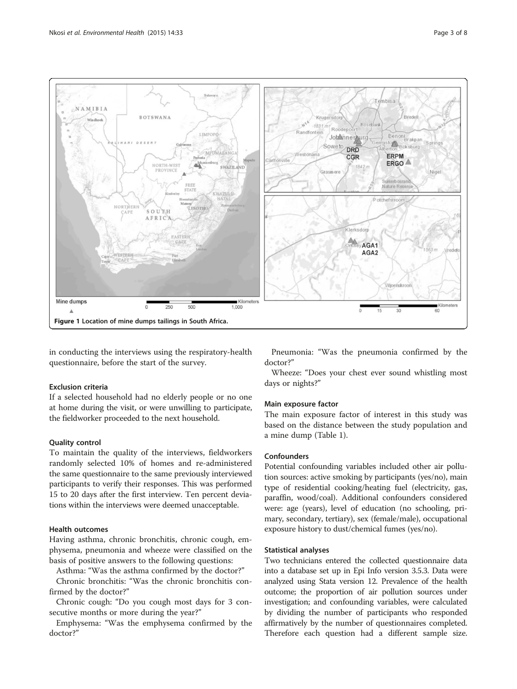<span id="page-2-0"></span>

in conducting the interviews using the respiratory-health questionnaire, before the start of the survey.

#### Exclusion criteria

If a selected household had no elderly people or no one at home during the visit, or were unwilling to participate, the fieldworker proceeded to the next household.

#### Quality control

To maintain the quality of the interviews, fieldworkers randomly selected 10% of homes and re-administered the same questionnaire to the same previously interviewed participants to verify their responses. This was performed 15 to 20 days after the first interview. Ten percent deviations within the interviews were deemed unacceptable.

#### Health outcomes

Having asthma, chronic bronchitis, chronic cough, emphysema, pneumonia and wheeze were classified on the basis of positive answers to the following questions:

Asthma: "Was the asthma confirmed by the doctor?"

Chronic bronchitis: "Was the chronic bronchitis confirmed by the doctor?"

Chronic cough: "Do you cough most days for 3 consecutive months or more during the year?"

Emphysema: "Was the emphysema confirmed by the doctor?"

Pneumonia: "Was the pneumonia confirmed by the doctor?"

Wheeze: "Does your chest ever sound whistling most days or nights?"

# Main exposure factor

The main exposure factor of interest in this study was based on the distance between the study population and a mine dump (Table [1\)](#page-1-0).

#### **Confounders**

Potential confounding variables included other air pollution sources: active smoking by participants (yes/no), main type of residential cooking/heating fuel (electricity, gas, paraffin, wood/coal). Additional confounders considered were: age (years), level of education (no schooling, primary, secondary, tertiary), sex (female/male), occupational exposure history to dust/chemical fumes (yes/no).

#### Statistical analyses

Two technicians entered the collected questionnaire data into a database set up in Epi Info version 3.5.3. Data were analyzed using Stata version 12. Prevalence of the health outcome; the proportion of air pollution sources under investigation; and confounding variables, were calculated by dividing the number of participants who responded affirmatively by the number of questionnaires completed. Therefore each question had a different sample size.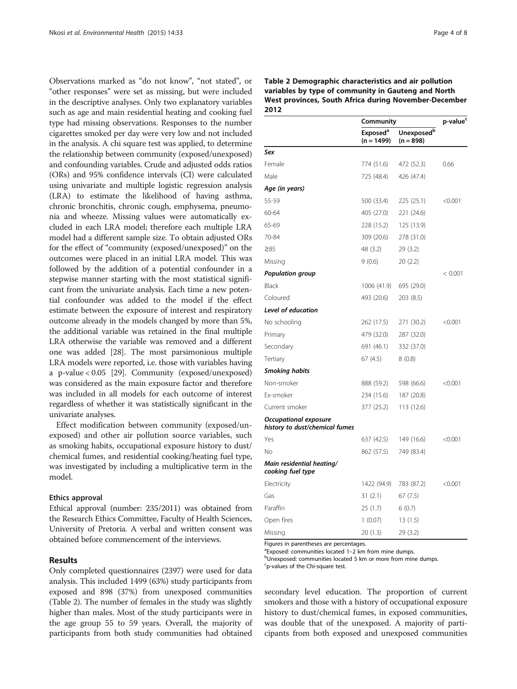Observations marked as "do not know", "not stated", or "other responses" were set as missing, but were included in the descriptive analyses. Only two explanatory variables such as age and main residential heating and cooking fuel type had missing observations. Responses to the number cigarettes smoked per day were very low and not included in the analysis. A chi square test was applied, to determine the relationship between community (exposed/unexposed) and confounding variables. Crude and adjusted odds ratios (ORs) and 95% confidence intervals (CI) were calculated using univariate and multiple logistic regression analysis (LRA) to estimate the likelihood of having asthma, chronic bronchitis, chronic cough, emphysema, pneumonia and wheeze. Missing values were automatically excluded in each LRA model; therefore each multiple LRA model had a different sample size. To obtain adjusted ORs for the effect of "community (exposed/unexposed)" on the outcomes were placed in an initial LRA model. This was followed by the addition of a potential confounder in a stepwise manner starting with the most statistical significant from the univariate analysis. Each time a new potential confounder was added to the model if the effect estimate between the exposure of interest and respiratory outcome already in the models changed by more than 5%, the additional variable was retained in the final multiple LRA otherwise the variable was removed and a different one was added [\[28\]](#page-7-0). The most parsimonious multiple LRA models were reported, i.e. those with variables having a p-value < 0.05 [[29](#page-7-0)]. Community (exposed/unexposed) was considered as the main exposure factor and therefore was included in all models for each outcome of interest regardless of whether it was statistically significant in the univariate analyses.

Effect modification between community (exposed/unexposed) and other air pollution source variables, such as smoking habits, occupational exposure history to dust/ chemical fumes, and residential cooking/heating fuel type, was investigated by including a multiplicative term in the model.

#### Ethics approval

Ethical approval (number: 235/2011) was obtained from the Research Ethics Committee, Faculty of Health Sciences, University of Pretoria. A verbal and written consent was obtained before commencement of the interviews.

#### Results

Only completed questionnaires (2397) were used for data analysis. This included 1499 (63%) study participants from exposed and 898 (37%) from unexposed communities (Table 2). The number of females in the study was slightly higher than males. Most of the study participants were in the age group 55 to 59 years. Overall, the majority of participants from both study communities had obtained Table 2 Demographic characteristics and air pollution variables by type of community in Gauteng and North West provinces, South Africa during November-December 2012

|                                                         | Community                          | p-value <sup>c</sup>                  |         |  |
|---------------------------------------------------------|------------------------------------|---------------------------------------|---------|--|
|                                                         | Exposed <sup>a</sup><br>(n = 1499) | Unexposed <sup>b</sup><br>$(n = 898)$ |         |  |
| Sex                                                     |                                    |                                       |         |  |
| Female                                                  | 774 (51.6)                         | 472 (52.3)                            | 0.66    |  |
| Male                                                    | 725 (48.4)                         | 426 (47.4)                            |         |  |
| Age (in years)                                          |                                    |                                       |         |  |
| 55-59                                                   | 500 (33.4)                         | 225 (25.1)                            | < 0.001 |  |
| 60-64                                                   | 405 (27.0)                         | 221 (24.6)                            |         |  |
| 65-69                                                   | 228 (15.2)                         | 125 (13.9)                            |         |  |
| 70-84                                                   | 309 (20.6)                         | 278 (31.0)                            |         |  |
| $\geq 85$                                               | 48 (3.2)                           | 29 (3.2)                              |         |  |
| Missing                                                 | 9(0.6)                             | 20(2.2)                               |         |  |
| <b>Population group</b>                                 |                                    |                                       | < 0.001 |  |
| Black                                                   | 1006 (41.9)                        | 695 (29.0)                            |         |  |
| Coloured                                                | 493 (20.6)                         | 203 (8.5)                             |         |  |
| <b>Level of education</b>                               |                                    |                                       |         |  |
| No schooling                                            | 262 (17.5)                         | 271 (30.2)                            | < 0.001 |  |
| Primary                                                 | 479 (32.0)                         | 287 (32.0)                            |         |  |
| Secondary                                               | 691 (46.1)                         | 332 (37.0)                            |         |  |
| Tertiary                                                | 67 (4.5)                           | 8(0.8)                                |         |  |
| <b>Smoking habits</b>                                   |                                    |                                       |         |  |
| Non-smoker                                              | 888 (59.2)                         | 598 (66.6)                            | < 0.001 |  |
| Ex-smoker                                               | 234 (15.6)                         | 187 (20.8)                            |         |  |
| Current smoker                                          | 377 (25.2)                         | 113 (12.6)                            |         |  |
| Occupational exposure<br>history to dust/chemical fumes |                                    |                                       |         |  |
| Yes                                                     | 637 (42.5)                         | 149 (16.6)                            | < 0.001 |  |
| Νo                                                      | 862 (57.5)                         | 749 (83.4)                            |         |  |
| Main residential heating/<br>cooking fuel type          |                                    |                                       |         |  |
| Electricity                                             | 1422 (94.9)                        | 783 (87.2)                            | < 0.001 |  |
| Gas                                                     | 31(2.1)                            | 67(7.5)                               |         |  |
| Paraffin                                                | 25 (1.7)                           | 6(0.7)                                |         |  |
| Open fires                                              | 1(0.07)                            | 13 (1.5)                              |         |  |
| Missing                                                 | 20 (1.3)                           | 29 (3.2)                              |         |  |

Figures in parentheses are percentages.

<sup>a</sup> Exposed: communities located  $1-2$  km from mine dumps.<br><sup>b</sup> Unexposed: communities located 5 km or more from mine

<sup>b</sup>Unexposed: communities located 5 km or more from mine dumps. <sup>c</sup>p-values of the Chi-square test.

secondary level education. The proportion of current smokers and those with a history of occupational exposure history to dust/chemical fumes, in exposed communities, was double that of the unexposed. A majority of participants from both exposed and unexposed communities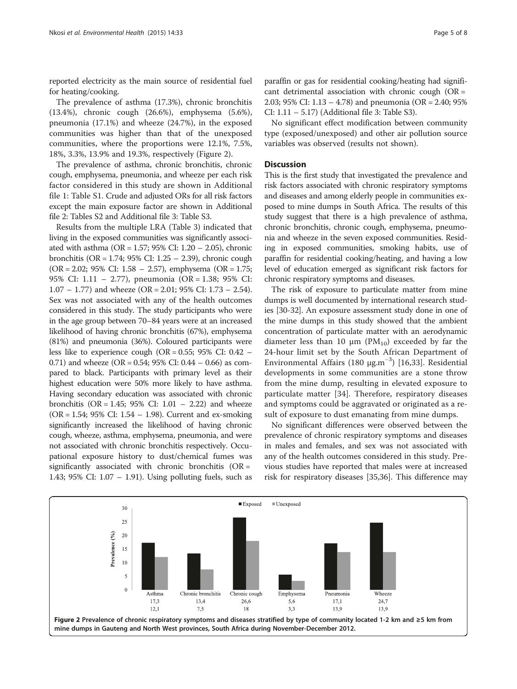reported electricity as the main source of residential fuel for heating/cooking.

The prevalence of asthma (17.3%), chronic bronchitis (13.4%), chronic cough (26.6%), emphysema (5.6%), pneumonia (17.1%) and wheeze (24.7%), in the exposed communities was higher than that of the unexposed communities, where the proportions were 12.1%, 7.5%, 18%, 3.3%, 13.9% and 19.3%, respectively (Figure 2).

The prevalence of asthma, chronic bronchitis, chronic cough, emphysema, pneumonia, and wheeze per each risk factor considered in this study are shown in Additional file [1](#page-6-0): Table S1. Crude and adjusted ORs for all risk factors except the main exposure factor are shown in Additional file [2](#page-6-0): Tables S2 and Additional file [3](#page-6-0): Table S3.

Results from the multiple LRA (Table [3\)](#page-5-0) indicated that living in the exposed communities was significantly associated with asthma (OR = 1.57; 95% CI: 1.20 – 2.05), chronic bronchitis (OR = 1.74; 95% CI: 1.25 – 2.39), chronic cough (OR = 2.02; 95% CI: 1.58 – 2.57), emphysema (OR = 1.75; 95% CI: 1.11 – 2.77), pneumonia (OR = 1.38; 95% CI:  $1.07 - 1.77$  and wheeze (OR = 2.01; 95% CI: 1.73 – 2.54). Sex was not associated with any of the health outcomes considered in this study. The study participants who were in the age group between 70–84 years were at an increased likelihood of having chronic bronchitis (67%), emphysema (81%) and pneumonia (36%). Coloured participants were less like to experience cough (OR = 0.55; 95% CI: 0.42 – 0.71) and wheeze (OR =  $0.54$ ; 95% CI: 0.44 – 0.66) as compared to black. Participants with primary level as their highest education were 50% more likely to have asthma. Having secondary education was associated with chronic bronchitis (OR = 1.45; 95% CI:  $1.01 - 2.22$ ) and wheeze (OR = 1.54; 95% CI: 1.54 – 1.98). Current and ex-smoking significantly increased the likelihood of having chronic cough, wheeze, asthma, emphysema, pneumonia, and were not associated with chronic bronchitis respectively. Occupational exposure history to dust/chemical fumes was significantly associated with chronic bronchitis  $(OR =$ 1.43; 95% CI: 1.07 – 1.91). Using polluting fuels, such as

paraffin or gas for residential cooking/heating had significant detrimental association with chronic cough  $(OR =$ 2.03; 95% CI: 1.13 – 4.78) and pneumonia (OR = 2.40; 95% CI: 1.11 – 5.17) (Additional file [3](#page-6-0): Table S3).

No significant effect modification between community type (exposed/unexposed) and other air pollution source variables was observed (results not shown).

## **Discussion**

This is the first study that investigated the prevalence and risk factors associated with chronic respiratory symptoms and diseases and among elderly people in communities exposed to mine dumps in South Africa. The results of this study suggest that there is a high prevalence of asthma, chronic bronchitis, chronic cough, emphysema, pneumonia and wheeze in the seven exposed communities. Residing in exposed communities, smoking habits, use of paraffin for residential cooking/heating, and having a low level of education emerged as significant risk factors for chronic respiratory symptoms and diseases.

The risk of exposure to particulate matter from mine dumps is well documented by international research studies [\[30](#page-7-0)-[32](#page-7-0)]. An exposure assessment study done in one of the mine dumps in this study showed that the ambient concentration of particulate matter with an aerodynamic diameter less than 10  $\mu$ m (PM<sub>10</sub>) exceeded by far the 24-hour limit set by the South African Department of Environmental Affairs (180 μg.m−<sup>3</sup> ) [[16,](#page-6-0)[33](#page-7-0)]. Residential developments in some communities are a stone throw from the mine dump, resulting in elevated exposure to particulate matter [[34](#page-7-0)]. Therefore, respiratory diseases and symptoms could be aggravated or originated as a result of exposure to dust emanating from mine dumps.

No significant differences were observed between the prevalence of chronic respiratory symptoms and diseases in males and females, and sex was not associated with any of the health outcomes considered in this study. Previous studies have reported that males were at increased risk for respiratory diseases [\[35,36](#page-7-0)]. This difference may

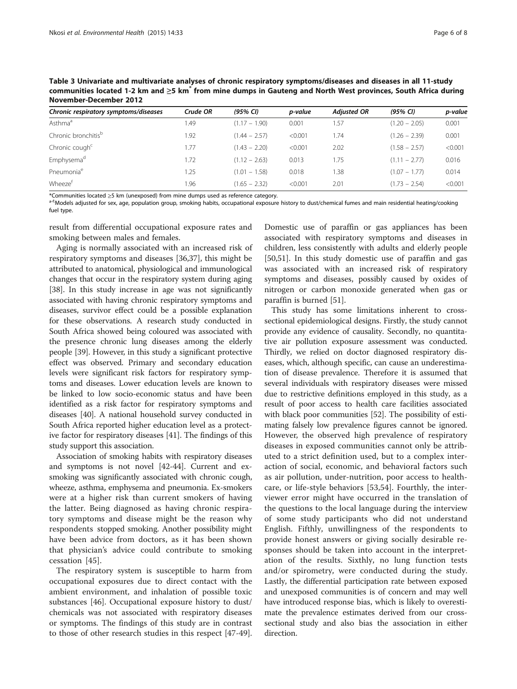<span id="page-5-0"></span>Table 3 Univariate and multivariate analyses of chronic respiratory symptoms/diseases and diseases in all 11-study communities located 1-2 km and ≥5 km\* from mine dumps in Gauteng and North West provinces, South Africa during November-December 2012

| Chronic respiratory symptoms/diseases | Crude OR | (95% CI)        | p-value | <b>Adiusted OR</b> | (95% CI)        | p-value |
|---------------------------------------|----------|-----------------|---------|--------------------|-----------------|---------|
| Asthma <sup>a</sup>                   | .49      | $(1.17 - 1.90)$ | 0.001   | 1.57               | $(1.20 - 2.05)$ | 0.001   |
| Chronic bronchitis <sup>b</sup>       | .92      | $(1.44 - 2.57)$ | < 0.001 | 1.74               | $(1.26 - 2.39)$ | 0.001   |
| Chronic cough <sup>c</sup>            | .77      | $(1.43 - 2.20)$ | < 0.001 | 2.02               | $(1.58 - 2.57)$ | < 0.001 |
| Emphysema <sup>d</sup>                | 1.72     | $(1.12 - 2.63)$ | 0.013   | 1.75               | $(1.11 - 2.77)$ | 0.016   |
| Pneumonia <sup>e</sup>                | .25      | $(1.01 - 1.58)$ | 0.018   | 1.38               | $(1.07 - 1.77)$ | 0.014   |
| Wheeze <sup>t</sup>                   | .96      | $(1.65 - 2.32)$ | < 0.001 | 2.01               | $(1.73 - 2.54)$ | < 0.001 |

\*Communities located ≥5 km (unexposed) from mine dumps used as reference category.<br><sup>a-f:</sup>Models adjusted for sex, age, population group, smoking habits, occupational exposure history to dust/chemical fumes and main reside fuel type.

result from differential occupational exposure rates and smoking between males and females.

Aging is normally associated with an increased risk of respiratory symptoms and diseases [[36,37\]](#page-7-0), this might be attributed to anatomical, physiological and immunological changes that occur in the respiratory system during aging [[38](#page-7-0)]. In this study increase in age was not significantly associated with having chronic respiratory symptoms and diseases, survivor effect could be a possible explanation for these observations. A research study conducted in South Africa showed being coloured was associated with the presence chronic lung diseases among the elderly people [\[39\]](#page-7-0). However, in this study a significant protective effect was observed. Primary and secondary education levels were significant risk factors for respiratory symptoms and diseases. Lower education levels are known to be linked to low socio-economic status and have been identified as a risk factor for respiratory symptoms and diseases [[40](#page-7-0)]. A national household survey conducted in South Africa reported higher education level as a protective factor for respiratory diseases [\[41](#page-7-0)]. The findings of this study support this association.

Association of smoking habits with respiratory diseases and symptoms is not novel [\[42-44\]](#page-7-0). Current and exsmoking was significantly associated with chronic cough, wheeze, asthma, emphysema and pneumonia. Ex-smokers were at a higher risk than current smokers of having the latter. Being diagnosed as having chronic respiratory symptoms and disease might be the reason why respondents stopped smoking. Another possibility might have been advice from doctors, as it has been shown that physician's advice could contribute to smoking cessation [[45\]](#page-7-0).

The respiratory system is susceptible to harm from occupational exposures due to direct contact with the ambient environment, and inhalation of possible toxic substances [\[46](#page-7-0)]. Occupational exposure history to dust/ chemicals was not associated with respiratory diseases or symptoms. The findings of this study are in contrast to those of other research studies in this respect [\[47-49](#page-7-0)]. Domestic use of paraffin or gas appliances has been associated with respiratory symptoms and diseases in children, less consistently with adults and elderly people [[50,51\]](#page-7-0). In this study domestic use of paraffin and gas was associated with an increased risk of respiratory symptoms and diseases, possibly caused by oxides of nitrogen or carbon monoxide generated when gas or paraffin is burned [[51](#page-7-0)].

This study has some limitations inherent to crosssectional epidemiological designs. Firstly, the study cannot provide any evidence of causality. Secondly, no quantitative air pollution exposure assessment was conducted. Thirdly, we relied on doctor diagnosed respiratory diseases, which, although specific, can cause an underestimation of disease prevalence. Therefore it is assumed that several individuals with respiratory diseases were missed due to restrictive definitions employed in this study, as a result of poor access to health care facilities associated with black poor communities [\[52\]](#page-7-0). The possibility of estimating falsely low prevalence figures cannot be ignored. However, the observed high prevalence of respiratory diseases in exposed communities cannot only be attributed to a strict definition used, but to a complex interaction of social, economic, and behavioral factors such as air pollution, under-nutrition, poor access to healthcare, or life-style behaviors [[53,54](#page-7-0)]. Fourthly, the interviewer error might have occurred in the translation of the questions to the local language during the interview of some study participants who did not understand English. Fifthly, unwillingness of the respondents to provide honest answers or giving socially desirable responses should be taken into account in the interpretation of the results. Sixthly, no lung function tests and/or spirometry, were conducted during the study. Lastly, the differential participation rate between exposed and unexposed communities is of concern and may well have introduced response bias, which is likely to overestimate the prevalence estimates derived from our crosssectional study and also bias the association in either direction.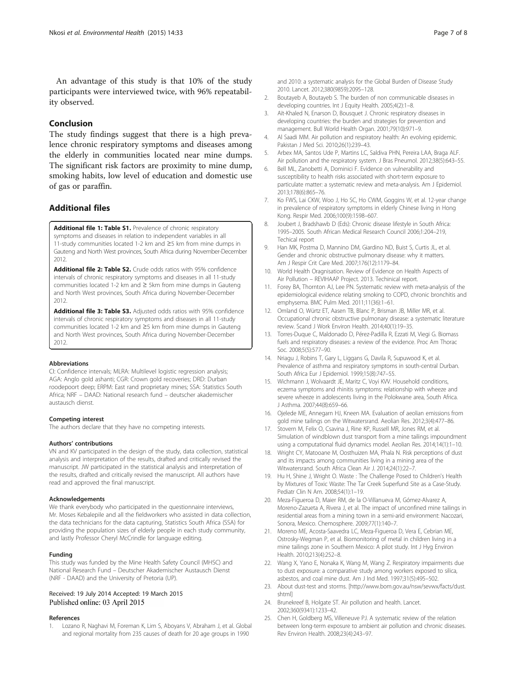<span id="page-6-0"></span>An advantage of this study is that 10% of the study participants were interviewed twice, with 96% repeatability observed.

#### Conclusion

The study findings suggest that there is a high prevalence chronic respiratory symptoms and diseases among the elderly in communities located near mine dumps. The significant risk factors are proximity to mine dump, smoking habits, low level of education and domestic use of gas or paraffin.

# Additional files

[Additional file 1: Table S1.](http://www.ehjournal.net/content/supplementary/s12940-015-0018-7-s1.docx) Prevalence of chronic respiratory symptoms and diseases in relation to independent variables in all 11-study communities located 1-2 km and ≥5 km from mine dumps in Gauteng and North West provinces, South Africa during November-December 2012.

[Additional file 2: Table S2.](http://www.ehjournal.net/content/supplementary/s12940-015-0018-7-s2.docx) Crude odds ratios with 95% confidence intervals of chronic respiratory symptoms and diseases in all 11-study communities located 1-2 km and ≥ 5km from mine dumps in Gauteng and North West provinces, South Africa during November-December 2012.

[Additional file 3: Table S3.](http://www.ehjournal.net/content/supplementary/s12940-015-0018-7-s3.docx) Adjusted odds ratios with 95% confidence intervals of chronic respiratory symptoms and diseases in all 11-study communities located 1-2 km and ≥5 km from mine dumps in Gauteng and North West provinces, South Africa during November-December 2012.

#### Abbreviations

CI: Confidence intervals; MLRA: Multilevel logistic regression analysis; AGA: Anglo gold ashanti; CGR: Crown gold recoveries; DRD: Durban roodepoort deep; ERPM: East rand proprietary mines; SSA: Statistics South Africa; NRF – DAAD: National research fund – deutscher akademischer austausch dienst.

#### Competing interest

The authors declare that they have no competing interests.

#### Authors' contributions

VN and KV participated in the design of the study, data collection, statistical analysis and interpretation of the results, drafted and critically revised the manuscript. JW participated in the statistical analysis and interpretation of the results, drafted and critically revised the manuscript. All authors have read and approved the final manuscript.

#### Acknowledgements

We thank everybody who participated in the questionnaire interviews, Mr. Moses Kebalepile and all the fieldworkers who assisted in data collection, the data technicians for the data capturing, Statistics South Africa (SSA) for providing the population sizes of elderly people in each study community, and lastly Professor Cheryl McCrindle for language editing.

#### Funding

This study was funded by the Mine Health Safety Council (MHSC) and National Research Fund – Deutscher Akademischer Austausch Dienst (NRF - DAAD) and the University of Pretoria (UP).

#### Received: 19 July 2014 Accepted: 19 March 2015 Published online: 03 April 2015

#### References

1. Lozano R, Naghavi M, Foreman K, Lim S, Aboyans V, Abraham J, et al. Global and regional mortality from 235 causes of death for 20 age groups in 1990

and 2010: a systematic analysis for the Global Burden of Disease Study 2010. Lancet. 2012;380(9859):2095–128.

- 2. Boutayeb A, Boutayeb S. The burden of non communicable diseases in developing countries. Int J Equity Health. 2005;4(2):1–8.
- 3. Aït-Khaled N, Enarson D, Bousquet J. Chronic respiratory diseases in developing countries: the burden and strategies for prevention and management. Bull World Health Organ. 2001;79(10):971–9.
- 4. Al Saadi MM. Air pollution and respiratory health: An evolving epidemic. Pakistan J Med Sci. 2010;26(1):239–43.
- 5. Arbex MA, Santos Ude P, Martins LC, Saldiva PHN, Pereira LAA, Braga ALF. Air pollution and the respiratory system. J Bras Pneumol. 2012;38(5):643–55.
- 6. Bell ML, Zanobetti A, Dominici F. Evidence on vulnerability and susceptibility to health risks associated with short-term exposure to particulate matter: a systematic review and meta-analysis. Am J Epidemiol. 2013;178(6):865–76.
- 7. Ko FWS, Lai CKW, Woo J, Ho SC, Ho CWM, Goggins W, et al. 12-year change in prevalence of respiratory symptoms in elderly Chinese living in Hong Kong. Respir Med. 2006;100(9):1598–607.
- 8. Joubert J, Bradshawb D (Eds): Chronic disease lifestyle in South Africa: 1995–2005. South African Medical Research Council 2006;1:204–219, Techical report
- 9. Han MK, Postma D, Mannino DM, Giardino ND, Buist S, Curtis JL, et al. Gender and chronic obstructive pulmonary disease: why it matters. Am J Respir Crit Care Med. 2007;176(12):1179–84.
- 10. World Health Oragnisation. Review of Evidence on Health Aspects of Air Pollution – REVIHAAP Project. 2013. Techinical report.
- 11. Forey BA, Thornton AJ, Lee PN. Systematic review with meta-analysis of the epidemiological evidence relating smoking to COPD, chronic bronchitis and emphysema. BMC Pulm Med. 2011;11(36):1–61.
- 12. Omland O, Würtz ET, Aasen TB, Blanc P, Brisman JB, Miller MR, et al. Occupational chronic obstructive pulmonary disease: a systematic literature review. Scand J Work Environ Health. 2014;40(1):19–35.
- 13. Torres-Duque C, Maldonado D, Pérez-Padilla R, Ezzati M, Viegi G. Biomass fuels and respiratory diseases: a review of the evidence. Proc Am Thorac Soc. 2008;5(5):577–90.
- 14. Nriagu J, Robins T, Gary L, Liggans G, Davila R, Supuwood K, et al. Prevalence of asthma and respiratory symptoms in south-central Durban. South Africa Eur J Epidemiol. 1999;15(8):747–55.
- 15. Wichmann J, Wolvaardt JE, Maritz C, Voyi KVV. Household conditions, eczema symptoms and rhinitis symptoms: relationship with wheeze and severe wheeze in adolescents living in the Polokwane area, South Africa. J Asthma. 2007;44(8):659–66.
- 16. Ojelede ME, Annegarn HJ, Kneen MA. Evaluation of aeolian emissions from gold mine tailings on the Witwatersrand. Aeolian Res. 2012;3(4):477–86.
- 17. Stovern M, Felix O, Csavina J, Rine KP, Russell MR, Jones RM, et al. Simulation of windblown dust transport from a mine tailings impoundment using a computational fluid dynamics model. Aeolian Res. 2014;14(1):1–10.
- 18. Wright CY, Matooane M, Oosthuizen MA, Phala N. Risk perceptions of dust and its impacts among communities living in a mining area of the Witwatersrand. South Africa Clean Air J. 2014;24(1):22–7.
- 19. Hu H, Shine J, Wright O. Waste : The Challenge Posed to Children's Health by Mixtures of Toxic Waste: The Tar Creek Superfund Site as a Case-Study. Pediatr Clin N Am. 2008;54(1):1–19.
- 20. Meza-Figueroa D, Maier RM, de la O-Villanueva M, Gómez-Alvarez A, Moreno-Zazueta A, Rivera J, et al. The impact of unconfined mine tailings in residential areas from a mining town in a semi-arid environment: Nacozari, Sonora, Mexico. Chemosphere. 2009;77(1):140–7.
- 21. Moreno ME, Acosta-Saavedra LC, Meza-Figueroa D, Vera E, Cebrian ME, Ostrosky-Wegman P, et al. Biomonitoring of metal in children living in a mine tailings zone in Southern Mexico: A pilot study. Int J Hyg Environ Health. 2010;213(4):252–8.
- 22. Wang X, Yano E, Nonaka K, Wang M, Wang Z. Respiratory impairments due to dust exposure: a comparative study among workers exposed to silica, asbestos, and coal mine dust. Am J Ind Med. 1997;31(5):495–502.
- 23. About dust-test and storms. [\[http://www.bom.gov.au/nsw/sevwx/facts/dust.](http://www.bom.gov.au/nsw/sevwx/facts/dust.shtml) [shtml\]](http://www.bom.gov.au/nsw/sevwx/facts/dust.shtml)
- 24. Brunekreef B, Holgate ST. Air pollution and health. Lancet. 2002;360(9341):1233–42.
- 25. Chen H, Goldberg MS, Villeneuve PJ. A systematic review of the relation between long-term exposure to ambient air pollution and chronic diseases. Rev Environ Health. 2008;23(4):243–97.